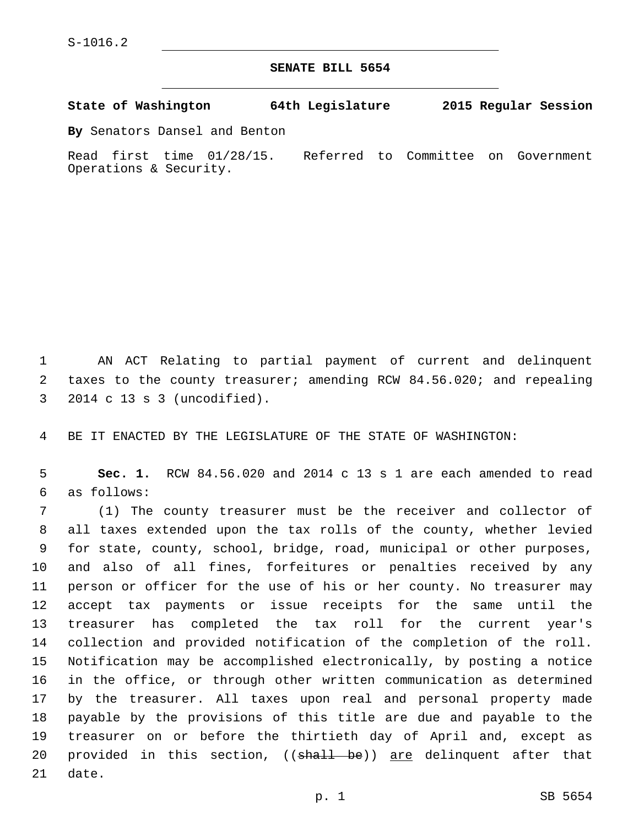## **SENATE BILL 5654**

**State of Washington 64th Legislature 2015 Regular Session**

**By** Senators Dansel and Benton

Read first time 01/28/15. Referred to Committee on Government Operations & Security.

 AN ACT Relating to partial payment of current and delinquent taxes to the county treasurer; amending RCW 84.56.020; and repealing 2014 c 13 s 3 (uncodified).3

BE IT ENACTED BY THE LEGISLATURE OF THE STATE OF WASHINGTON:

 **Sec. 1.** RCW 84.56.020 and 2014 c 13 s 1 are each amended to read as follows:6

 (1) The county treasurer must be the receiver and collector of all taxes extended upon the tax rolls of the county, whether levied for state, county, school, bridge, road, municipal or other purposes, and also of all fines, forfeitures or penalties received by any person or officer for the use of his or her county. No treasurer may accept tax payments or issue receipts for the same until the treasurer has completed the tax roll for the current year's collection and provided notification of the completion of the roll. Notification may be accomplished electronically, by posting a notice in the office, or through other written communication as determined by the treasurer. All taxes upon real and personal property made payable by the provisions of this title are due and payable to the treasurer on or before the thirtieth day of April and, except as 20 provided in this section, ((<del>shall be</del>)) <u>are</u> delinquent after that 21 date.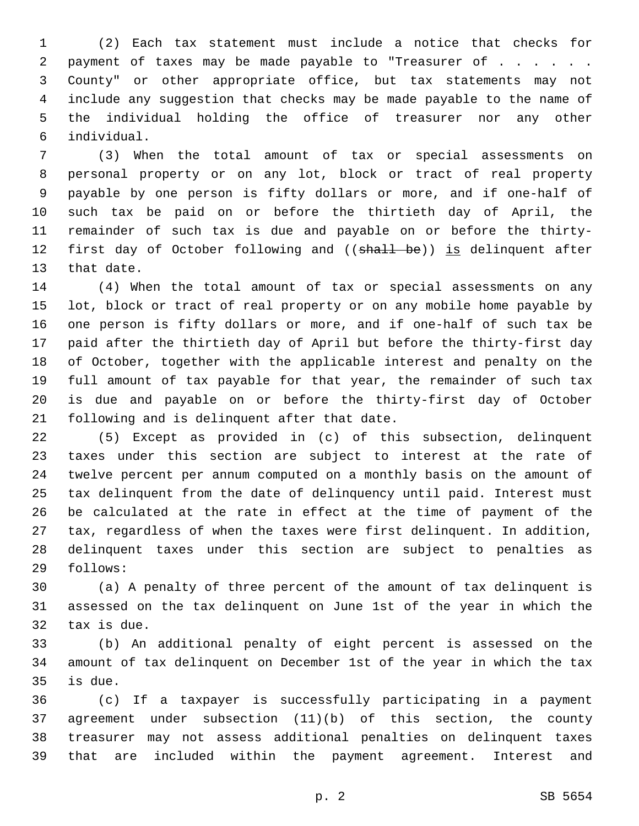(2) Each tax statement must include a notice that checks for 2 payment of taxes may be made payable to "Treasurer of . . . . . . County" or other appropriate office, but tax statements may not include any suggestion that checks may be made payable to the name of the individual holding the office of treasurer nor any other individual.6

 (3) When the total amount of tax or special assessments on personal property or on any lot, block or tract of real property payable by one person is fifty dollars or more, and if one-half of such tax be paid on or before the thirtieth day of April, the remainder of such tax is due and payable on or before the thirty-12 first day of October following and ((shall be)) is delinquent after 13 that date.

 (4) When the total amount of tax or special assessments on any lot, block or tract of real property or on any mobile home payable by one person is fifty dollars or more, and if one-half of such tax be paid after the thirtieth day of April but before the thirty-first day of October, together with the applicable interest and penalty on the full amount of tax payable for that year, the remainder of such tax is due and payable on or before the thirty-first day of October 21 following and is delinquent after that date.

 (5) Except as provided in (c) of this subsection, delinquent taxes under this section are subject to interest at the rate of twelve percent per annum computed on a monthly basis on the amount of tax delinquent from the date of delinquency until paid. Interest must be calculated at the rate in effect at the time of payment of the tax, regardless of when the taxes were first delinquent. In addition, delinquent taxes under this section are subject to penalties as follows:29

 (a) A penalty of three percent of the amount of tax delinquent is assessed on the tax delinquent on June 1st of the year in which the 32 tax is due.

 (b) An additional penalty of eight percent is assessed on the amount of tax delinquent on December 1st of the year in which the tax is due.

 (c) If a taxpayer is successfully participating in a payment agreement under subsection (11)(b) of this section, the county treasurer may not assess additional penalties on delinquent taxes that are included within the payment agreement. Interest and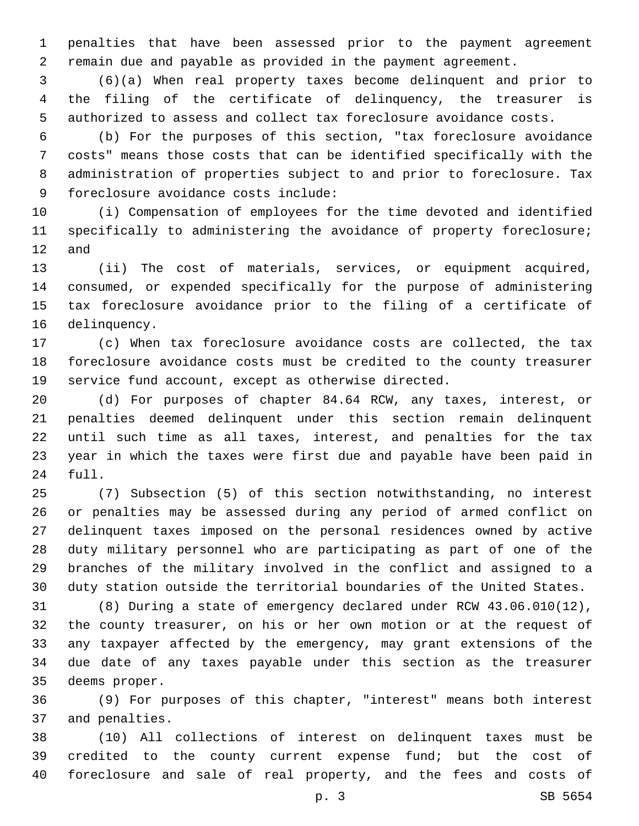penalties that have been assessed prior to the payment agreement remain due and payable as provided in the payment agreement.

 (6)(a) When real property taxes become delinquent and prior to the filing of the certificate of delinquency, the treasurer is authorized to assess and collect tax foreclosure avoidance costs.

 (b) For the purposes of this section, "tax foreclosure avoidance costs" means those costs that can be identified specifically with the administration of properties subject to and prior to foreclosure. Tax 9 foreclosure avoidance costs include:

 (i) Compensation of employees for the time devoted and identified specifically to administering the avoidance of property foreclosure; and

 (ii) The cost of materials, services, or equipment acquired, consumed, or expended specifically for the purpose of administering tax foreclosure avoidance prior to the filing of a certificate of 16 delinquency.

 (c) When tax foreclosure avoidance costs are collected, the tax foreclosure avoidance costs must be credited to the county treasurer service fund account, except as otherwise directed.

 (d) For purposes of chapter 84.64 RCW, any taxes, interest, or penalties deemed delinquent under this section remain delinquent until such time as all taxes, interest, and penalties for the tax year in which the taxes were first due and payable have been paid in 24 full.

 (7) Subsection (5) of this section notwithstanding, no interest or penalties may be assessed during any period of armed conflict on delinquent taxes imposed on the personal residences owned by active duty military personnel who are participating as part of one of the branches of the military involved in the conflict and assigned to a duty station outside the territorial boundaries of the United States.

 (8) During a state of emergency declared under RCW 43.06.010(12), the county treasurer, on his or her own motion or at the request of any taxpayer affected by the emergency, may grant extensions of the due date of any taxes payable under this section as the treasurer 35 deems proper.

 (9) For purposes of this chapter, "interest" means both interest 37 and penalties.

 (10) All collections of interest on delinquent taxes must be credited to the county current expense fund; but the cost of foreclosure and sale of real property, and the fees and costs of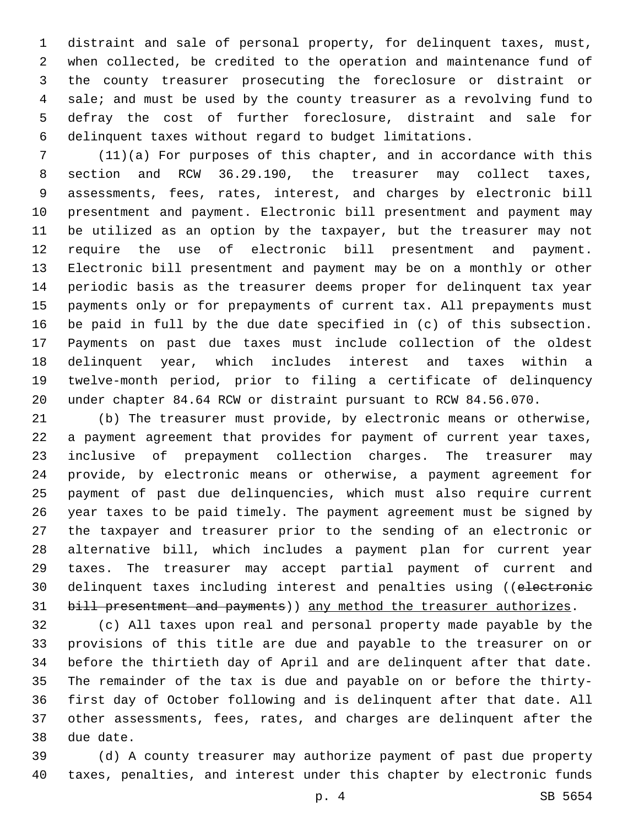distraint and sale of personal property, for delinquent taxes, must, when collected, be credited to the operation and maintenance fund of the county treasurer prosecuting the foreclosure or distraint or sale; and must be used by the county treasurer as a revolving fund to defray the cost of further foreclosure, distraint and sale for delinquent taxes without regard to budget limitations.

 (11)(a) For purposes of this chapter, and in accordance with this section and RCW 36.29.190, the treasurer may collect taxes, assessments, fees, rates, interest, and charges by electronic bill presentment and payment. Electronic bill presentment and payment may be utilized as an option by the taxpayer, but the treasurer may not require the use of electronic bill presentment and payment. Electronic bill presentment and payment may be on a monthly or other periodic basis as the treasurer deems proper for delinquent tax year payments only or for prepayments of current tax. All prepayments must be paid in full by the due date specified in (c) of this subsection. Payments on past due taxes must include collection of the oldest delinquent year, which includes interest and taxes within a twelve-month period, prior to filing a certificate of delinquency under chapter 84.64 RCW or distraint pursuant to RCW 84.56.070.

 (b) The treasurer must provide, by electronic means or otherwise, a payment agreement that provides for payment of current year taxes, inclusive of prepayment collection charges. The treasurer may provide, by electronic means or otherwise, a payment agreement for payment of past due delinquencies, which must also require current year taxes to be paid timely. The payment agreement must be signed by the taxpayer and treasurer prior to the sending of an electronic or alternative bill, which includes a payment plan for current year taxes. The treasurer may accept partial payment of current and 30 delinquent taxes including interest and penalties using ((electronic 31 bill presentment and payments)) any method the treasurer authorizes.

 (c) All taxes upon real and personal property made payable by the provisions of this title are due and payable to the treasurer on or before the thirtieth day of April and are delinquent after that date. The remainder of the tax is due and payable on or before the thirty- first day of October following and is delinquent after that date. All other assessments, fees, rates, and charges are delinquent after the 38 due date.

 (d) A county treasurer may authorize payment of past due property taxes, penalties, and interest under this chapter by electronic funds